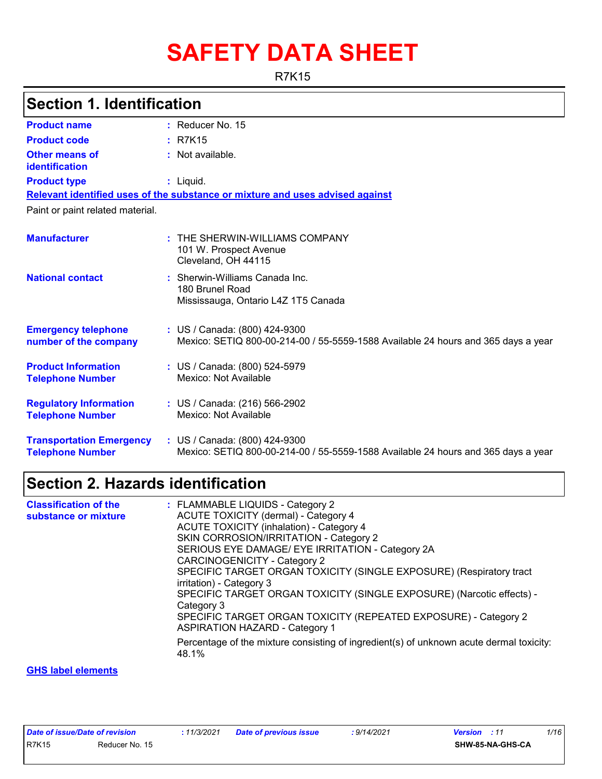# **SAFETY DATA SHEET**

R7K15

## **Section 1. Identification**

| <b>Product name</b>                                        | $:$ Reducer No. 15                                                                                                 |  |  |  |
|------------------------------------------------------------|--------------------------------------------------------------------------------------------------------------------|--|--|--|
| <b>Product code</b>                                        | : R7K15                                                                                                            |  |  |  |
| Other means of<br><b>identification</b>                    | : Not available.                                                                                                   |  |  |  |
| <b>Product type</b>                                        | : Liquid.                                                                                                          |  |  |  |
|                                                            | Relevant identified uses of the substance or mixture and uses advised against                                      |  |  |  |
| Paint or paint related material.                           |                                                                                                                    |  |  |  |
| <b>Manufacturer</b>                                        | $:$ THE SHERWIN-WILLIAMS COMPANY<br>101 W. Prospect Avenue<br>Cleveland, OH 44115                                  |  |  |  |
| <b>National contact</b>                                    | : Sherwin-Williams Canada Inc.<br>180 Brunel Road<br>Mississauga, Ontario L4Z 1T5 Canada                           |  |  |  |
| <b>Emergency telephone</b><br>number of the company        | : US / Canada: (800) 424-9300<br>Mexico: SETIQ 800-00-214-00 / 55-5559-1588 Available 24 hours and 365 days a year |  |  |  |
| <b>Product Information</b><br><b>Telephone Number</b>      | : US / Canada: (800) 524-5979<br>Mexico: Not Available                                                             |  |  |  |
| <b>Regulatory Information</b><br><b>Telephone Number</b>   | : US / Canada: (216) 566-2902<br>Mexico: Not Available                                                             |  |  |  |
| <b>Transportation Emergency</b><br><b>Telephone Number</b> | : US / Canada: (800) 424-9300<br>Mexico: SETIQ 800-00-214-00 / 55-5559-1588 Available 24 hours and 365 days a year |  |  |  |

### **Section 2. Hazards identification**

| <b>Classification of the</b><br>substance or mixture | : FLAMMABLE LIQUIDS - Category 2<br>ACUTE TOXICITY (dermal) - Category 4<br><b>ACUTE TOXICITY (inhalation) - Category 4</b><br>SKIN CORROSION/IRRITATION - Category 2<br>SERIOUS EYE DAMAGE/ EYE IRRITATION - Category 2A<br><b>CARCINOGENICITY - Category 2</b><br>SPECIFIC TARGET ORGAN TOXICITY (SINGLE EXPOSURE) (Respiratory tract<br>irritation) - Category 3<br>SPECIFIC TARGET ORGAN TOXICITY (SINGLE EXPOSURE) (Narcotic effects) -<br>Category 3<br>SPECIFIC TARGET ORGAN TOXICITY (REPEATED EXPOSURE) - Category 2<br><b>ASPIRATION HAZARD - Category 1</b><br>Percentage of the mixture consisting of ingredient(s) of unknown acute dermal toxicity:<br>48.1% |
|------------------------------------------------------|----------------------------------------------------------------------------------------------------------------------------------------------------------------------------------------------------------------------------------------------------------------------------------------------------------------------------------------------------------------------------------------------------------------------------------------------------------------------------------------------------------------------------------------------------------------------------------------------------------------------------------------------------------------------------|
|                                                      |                                                                                                                                                                                                                                                                                                                                                                                                                                                                                                                                                                                                                                                                            |

#### **GHS label elements**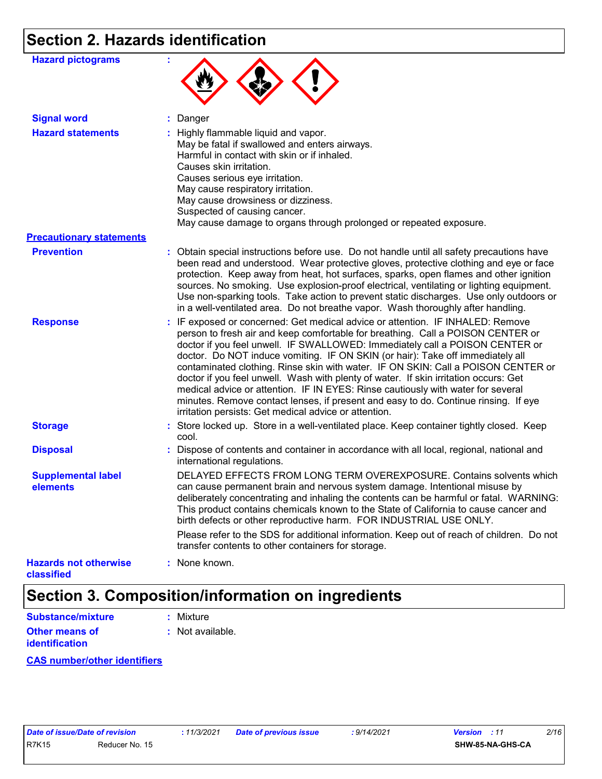## **Section 2. Hazards identification**

| <b>Hazard pictograms</b>                   |                                                                                                                                                                                                                                                                                                                                                                                                                                                                                                                                                                                                                                                                                                                                                      |  |  |  |
|--------------------------------------------|------------------------------------------------------------------------------------------------------------------------------------------------------------------------------------------------------------------------------------------------------------------------------------------------------------------------------------------------------------------------------------------------------------------------------------------------------------------------------------------------------------------------------------------------------------------------------------------------------------------------------------------------------------------------------------------------------------------------------------------------------|--|--|--|
| <b>Signal word</b>                         | : Danger                                                                                                                                                                                                                                                                                                                                                                                                                                                                                                                                                                                                                                                                                                                                             |  |  |  |
| <b>Hazard statements</b>                   | : Highly flammable liquid and vapor.<br>May be fatal if swallowed and enters airways.<br>Harmful in contact with skin or if inhaled.<br>Causes skin irritation.<br>Causes serious eye irritation.<br>May cause respiratory irritation.<br>May cause drowsiness or dizziness.<br>Suspected of causing cancer.<br>May cause damage to organs through prolonged or repeated exposure.                                                                                                                                                                                                                                                                                                                                                                   |  |  |  |
| <b>Precautionary statements</b>            |                                                                                                                                                                                                                                                                                                                                                                                                                                                                                                                                                                                                                                                                                                                                                      |  |  |  |
| <b>Prevention</b>                          | : Obtain special instructions before use. Do not handle until all safety precautions have<br>been read and understood. Wear protective gloves, protective clothing and eye or face<br>protection. Keep away from heat, hot surfaces, sparks, open flames and other ignition<br>sources. No smoking. Use explosion-proof electrical, ventilating or lighting equipment.<br>Use non-sparking tools. Take action to prevent static discharges. Use only outdoors or<br>in a well-ventilated area. Do not breathe vapor. Wash thoroughly after handling.                                                                                                                                                                                                 |  |  |  |
| <b>Response</b>                            | : IF exposed or concerned: Get medical advice or attention. IF INHALED: Remove<br>person to fresh air and keep comfortable for breathing. Call a POISON CENTER or<br>doctor if you feel unwell. IF SWALLOWED: Immediately call a POISON CENTER or<br>doctor. Do NOT induce vomiting. IF ON SKIN (or hair): Take off immediately all<br>contaminated clothing. Rinse skin with water. IF ON SKIN: Call a POISON CENTER or<br>doctor if you feel unwell. Wash with plenty of water. If skin irritation occurs: Get<br>medical advice or attention. IF IN EYES: Rinse cautiously with water for several<br>minutes. Remove contact lenses, if present and easy to do. Continue rinsing. If eye<br>irritation persists: Get medical advice or attention. |  |  |  |
| <b>Storage</b>                             | : Store locked up. Store in a well-ventilated place. Keep container tightly closed. Keep<br>cool.                                                                                                                                                                                                                                                                                                                                                                                                                                                                                                                                                                                                                                                    |  |  |  |
| <b>Disposal</b>                            | : Dispose of contents and container in accordance with all local, regional, national and<br>international regulations.                                                                                                                                                                                                                                                                                                                                                                                                                                                                                                                                                                                                                               |  |  |  |
| <b>Supplemental label</b><br>elements      | DELAYED EFFECTS FROM LONG TERM OVEREXPOSURE. Contains solvents which<br>can cause permanent brain and nervous system damage. Intentional misuse by<br>deliberately concentrating and inhaling the contents can be harmful or fatal. WARNING:<br>This product contains chemicals known to the State of California to cause cancer and<br>birth defects or other reproductive harm. FOR INDUSTRIAL USE ONLY.                                                                                                                                                                                                                                                                                                                                           |  |  |  |
|                                            | Please refer to the SDS for additional information. Keep out of reach of children. Do not<br>transfer contents to other containers for storage.                                                                                                                                                                                                                                                                                                                                                                                                                                                                                                                                                                                                      |  |  |  |
| <b>Hazards not otherwise</b><br>classified | : None known.                                                                                                                                                                                                                                                                                                                                                                                                                                                                                                                                                                                                                                                                                                                                        |  |  |  |

## **Section 3. Composition/information on ingredients**

| <b>Substance/mixture</b>                | : Mixture                   |
|-----------------------------------------|-----------------------------|
| <b>Other means of</b><br>identification | $\therefore$ Not available. |
|                                         |                             |

**CAS number/other identifiers**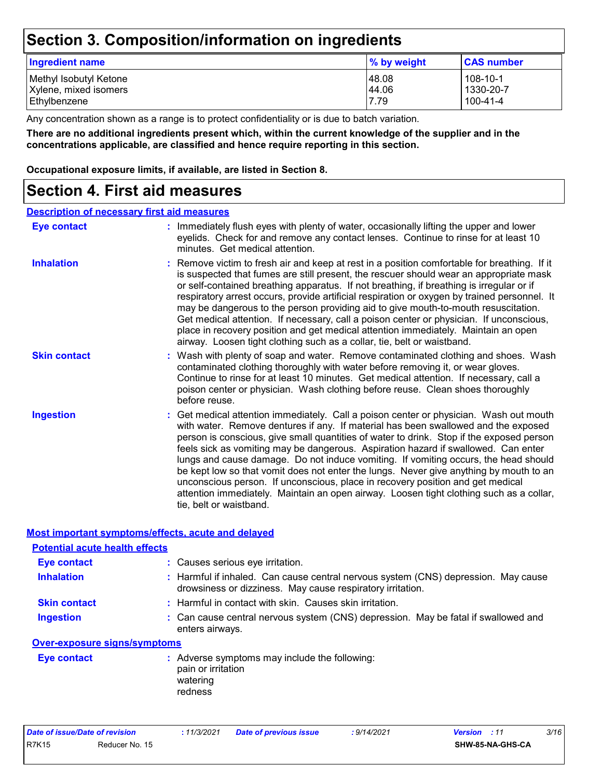### **Section 3. Composition/information on ingredients**

| Ingredient name        | % by weight | <b>CAS number</b> |
|------------------------|-------------|-------------------|
| Methyl Isobutyl Ketone | 48.08       | 108-10-1          |
| Xylene, mixed isomers  | 44.06       | 1330-20-7         |
| Ethylbenzene           | 7.79        | 100-41-4          |

Any concentration shown as a range is to protect confidentiality or is due to batch variation.

**There are no additional ingredients present which, within the current knowledge of the supplier and in the concentrations applicable, are classified and hence require reporting in this section.**

**Occupational exposure limits, if available, are listed in Section 8.**

### **Section 4. First aid measures**

#### **Description of necessary first aid measures**

| <b>Eye contact</b>  | : Immediately flush eyes with plenty of water, occasionally lifting the upper and lower<br>eyelids. Check for and remove any contact lenses. Continue to rinse for at least 10<br>minutes. Get medical attention.                                                                                                                                                                                                                                                                                                                                                                                                                                                                                                                                       |
|---------------------|---------------------------------------------------------------------------------------------------------------------------------------------------------------------------------------------------------------------------------------------------------------------------------------------------------------------------------------------------------------------------------------------------------------------------------------------------------------------------------------------------------------------------------------------------------------------------------------------------------------------------------------------------------------------------------------------------------------------------------------------------------|
| <b>Inhalation</b>   | : Remove victim to fresh air and keep at rest in a position comfortable for breathing. If it<br>is suspected that fumes are still present, the rescuer should wear an appropriate mask<br>or self-contained breathing apparatus. If not breathing, if breathing is irregular or if<br>respiratory arrest occurs, provide artificial respiration or oxygen by trained personnel. It<br>may be dangerous to the person providing aid to give mouth-to-mouth resuscitation.<br>Get medical attention. If necessary, call a poison center or physician. If unconscious,<br>place in recovery position and get medical attention immediately. Maintain an open<br>airway. Loosen tight clothing such as a collar, tie, belt or waistband.                    |
| <b>Skin contact</b> | : Wash with plenty of soap and water. Remove contaminated clothing and shoes. Wash<br>contaminated clothing thoroughly with water before removing it, or wear gloves.<br>Continue to rinse for at least 10 minutes. Get medical attention. If necessary, call a<br>poison center or physician. Wash clothing before reuse. Clean shoes thoroughly<br>before reuse.                                                                                                                                                                                                                                                                                                                                                                                      |
| <b>Ingestion</b>    | : Get medical attention immediately. Call a poison center or physician. Wash out mouth<br>with water. Remove dentures if any. If material has been swallowed and the exposed<br>person is conscious, give small quantities of water to drink. Stop if the exposed person<br>feels sick as vomiting may be dangerous. Aspiration hazard if swallowed. Can enter<br>lungs and cause damage. Do not induce vomiting. If vomiting occurs, the head should<br>be kept low so that vomit does not enter the lungs. Never give anything by mouth to an<br>unconscious person. If unconscious, place in recovery position and get medical<br>attention immediately. Maintain an open airway. Loosen tight clothing such as a collar,<br>tie, belt or waistband. |

**Most important symptoms/effects, acute and delayed**

| <b>Potential acute health effects</b> |                                                                                                                                                  |  |  |  |
|---------------------------------------|--------------------------------------------------------------------------------------------------------------------------------------------------|--|--|--|
| <b>Eye contact</b>                    | : Causes serious eye irritation.                                                                                                                 |  |  |  |
| <b>Inhalation</b>                     | : Harmful if inhaled. Can cause central nervous system (CNS) depression. May cause<br>drowsiness or dizziness. May cause respiratory irritation. |  |  |  |
| <b>Skin contact</b>                   | : Harmful in contact with skin. Causes skin irritation.                                                                                          |  |  |  |
| <b>Ingestion</b>                      | : Can cause central nervous system (CNS) depression. May be fatal if swallowed and<br>enters airways.                                            |  |  |  |
| <b>Over-exposure signs/symptoms</b>   |                                                                                                                                                  |  |  |  |
| <b>Eye contact</b>                    | : Adverse symptoms may include the following:<br>pain or irritation<br>watering<br>redness                                                       |  |  |  |

| Date of issue/Date of revision |                | : 11/3/2021 | <b>Date of previous issue</b> | : 9/14/2021 | <b>Version</b> : 11 | 3/16 |
|--------------------------------|----------------|-------------|-------------------------------|-------------|---------------------|------|
| <b>R7K15</b>                   | Reducer No. 15 |             |                               |             | SHW-85-NA-GHS-CA    |      |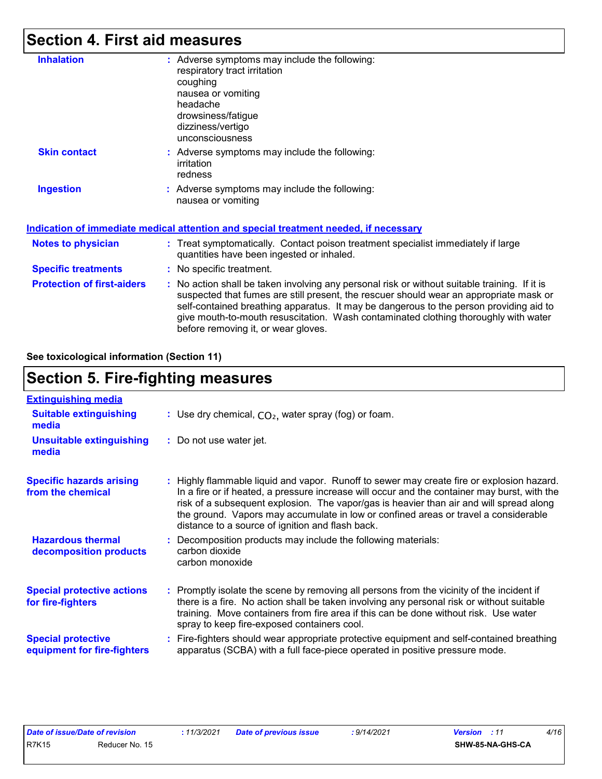### **Section 4. First aid measures**

| <b>Inhalation</b>                 | : Adverse symptoms may include the following:                                                                                                                                                                                                                           |
|-----------------------------------|-------------------------------------------------------------------------------------------------------------------------------------------------------------------------------------------------------------------------------------------------------------------------|
|                                   | respiratory tract irritation                                                                                                                                                                                                                                            |
|                                   | coughing                                                                                                                                                                                                                                                                |
|                                   | nausea or vomiting                                                                                                                                                                                                                                                      |
|                                   | headache                                                                                                                                                                                                                                                                |
|                                   | drowsiness/fatigue                                                                                                                                                                                                                                                      |
|                                   | dizziness/vertigo                                                                                                                                                                                                                                                       |
|                                   | unconsciousness                                                                                                                                                                                                                                                         |
| <b>Skin contact</b>               | : Adverse symptoms may include the following:                                                                                                                                                                                                                           |
|                                   | irritation                                                                                                                                                                                                                                                              |
|                                   | redness                                                                                                                                                                                                                                                                 |
| <b>Ingestion</b>                  | : Adverse symptoms may include the following:                                                                                                                                                                                                                           |
|                                   | nausea or vomiting                                                                                                                                                                                                                                                      |
|                                   |                                                                                                                                                                                                                                                                         |
|                                   | Indication of immediate medical attention and special treatment needed, if necessary                                                                                                                                                                                    |
| <b>Notes to physician</b>         | : Treat symptomatically. Contact poison treatment specialist immediately if large                                                                                                                                                                                       |
|                                   | quantities have been ingested or inhaled.                                                                                                                                                                                                                               |
| <b>Specific treatments</b>        | : No specific treatment.                                                                                                                                                                                                                                                |
| <b>Protection of first-aiders</b> | : No action shall be taken involving any personal risk or without suitable training. If it is                                                                                                                                                                           |
|                                   | suspected that fumes are still present, the rescuer should wear an appropriate mask or<br>self-contained breathing apparatus. It may be dangerous to the person providing aid to<br>give mouth-to-mouth resuscitation. Wash contaminated clothing thoroughly with water |
|                                   | before removing it, or wear gloves.                                                                                                                                                                                                                                     |

**See toxicological information (Section 11)**

### **Section 5. Fire-fighting measures**

| <b>Extinguishing media</b>                               |                                                                                                                                                                                                                                                                                                                                                                                                                                 |
|----------------------------------------------------------|---------------------------------------------------------------------------------------------------------------------------------------------------------------------------------------------------------------------------------------------------------------------------------------------------------------------------------------------------------------------------------------------------------------------------------|
| <b>Suitable extinguishing</b><br>media                   | : Use dry chemical, $CO2$ , water spray (fog) or foam.                                                                                                                                                                                                                                                                                                                                                                          |
| <b>Unsuitable extinguishing</b><br>media                 | : Do not use water jet.                                                                                                                                                                                                                                                                                                                                                                                                         |
| <b>Specific hazards arising</b><br>from the chemical     | : Highly flammable liquid and vapor. Runoff to sewer may create fire or explosion hazard.<br>In a fire or if heated, a pressure increase will occur and the container may burst, with the<br>risk of a subsequent explosion. The vapor/gas is heavier than air and will spread along<br>the ground. Vapors may accumulate in low or confined areas or travel a considerable<br>distance to a source of ignition and flash back. |
| <b>Hazardous thermal</b><br>decomposition products       | : Decomposition products may include the following materials:<br>carbon dioxide<br>carbon monoxide                                                                                                                                                                                                                                                                                                                              |
| <b>Special protective actions</b><br>for fire-fighters   | : Promptly isolate the scene by removing all persons from the vicinity of the incident if<br>there is a fire. No action shall be taken involving any personal risk or without suitable<br>training. Move containers from fire area if this can be done without risk. Use water<br>spray to keep fire-exposed containers cool.                                                                                                   |
| <b>Special protective</b><br>equipment for fire-fighters | Fire-fighters should wear appropriate protective equipment and self-contained breathing<br>apparatus (SCBA) with a full face-piece operated in positive pressure mode.                                                                                                                                                                                                                                                          |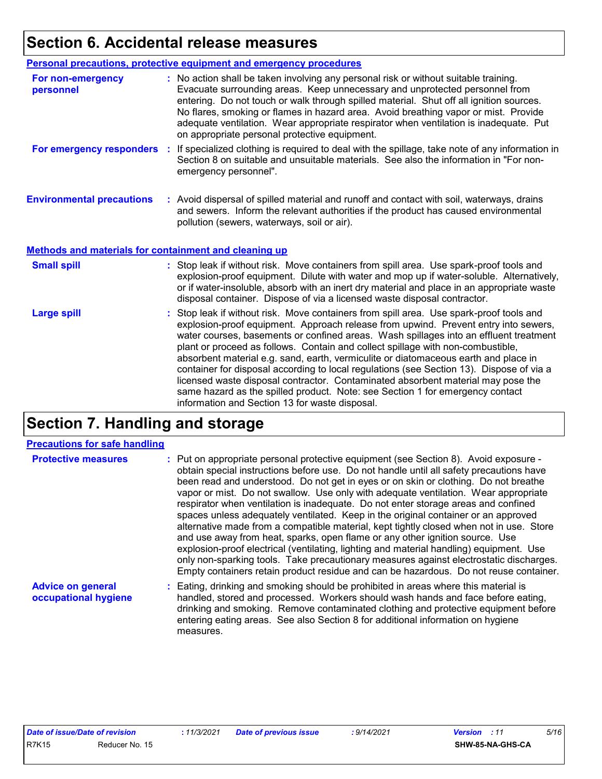## **Section 6. Accidental release measures**

|                                                       | Personal precautions, protective equipment and emergency procedures                                                                                                                                                                                                                                                                                                                                                                                                                                                                                                                                                                                                                                                                                                  |  |  |  |
|-------------------------------------------------------|----------------------------------------------------------------------------------------------------------------------------------------------------------------------------------------------------------------------------------------------------------------------------------------------------------------------------------------------------------------------------------------------------------------------------------------------------------------------------------------------------------------------------------------------------------------------------------------------------------------------------------------------------------------------------------------------------------------------------------------------------------------------|--|--|--|
| For non-emergency<br>personnel                        | : No action shall be taken involving any personal risk or without suitable training.<br>Evacuate surrounding areas. Keep unnecessary and unprotected personnel from<br>entering. Do not touch or walk through spilled material. Shut off all ignition sources.<br>No flares, smoking or flames in hazard area. Avoid breathing vapor or mist. Provide<br>adequate ventilation. Wear appropriate respirator when ventilation is inadequate. Put<br>on appropriate personal protective equipment.                                                                                                                                                                                                                                                                      |  |  |  |
| For emergency responders                              | : If specialized clothing is required to deal with the spillage, take note of any information in<br>Section 8 on suitable and unsuitable materials. See also the information in "For non-<br>emergency personnel".                                                                                                                                                                                                                                                                                                                                                                                                                                                                                                                                                   |  |  |  |
| <b>Environmental precautions</b>                      | : Avoid dispersal of spilled material and runoff and contact with soil, waterways, drains<br>and sewers. Inform the relevant authorities if the product has caused environmental<br>pollution (sewers, waterways, soil or air).                                                                                                                                                                                                                                                                                                                                                                                                                                                                                                                                      |  |  |  |
| Methods and materials for containment and cleaning up |                                                                                                                                                                                                                                                                                                                                                                                                                                                                                                                                                                                                                                                                                                                                                                      |  |  |  |
| <b>Small spill</b>                                    | : Stop leak if without risk. Move containers from spill area. Use spark-proof tools and<br>explosion-proof equipment. Dilute with water and mop up if water-soluble. Alternatively,<br>or if water-insoluble, absorb with an inert dry material and place in an appropriate waste<br>disposal container. Dispose of via a licensed waste disposal contractor.                                                                                                                                                                                                                                                                                                                                                                                                        |  |  |  |
| <b>Large spill</b>                                    | : Stop leak if without risk. Move containers from spill area. Use spark-proof tools and<br>explosion-proof equipment. Approach release from upwind. Prevent entry into sewers,<br>water courses, basements or confined areas. Wash spillages into an effluent treatment<br>plant or proceed as follows. Contain and collect spillage with non-combustible,<br>absorbent material e.g. sand, earth, vermiculite or diatomaceous earth and place in<br>container for disposal according to local regulations (see Section 13). Dispose of via a<br>licensed waste disposal contractor. Contaminated absorbent material may pose the<br>same hazard as the spilled product. Note: see Section 1 for emergency contact<br>information and Section 13 for waste disposal. |  |  |  |

## **Section 7. Handling and storage**

#### **Precautions for safe handling**

| <b>Protective measures</b>                       | : Put on appropriate personal protective equipment (see Section 8). Avoid exposure -<br>obtain special instructions before use. Do not handle until all safety precautions have<br>been read and understood. Do not get in eyes or on skin or clothing. Do not breathe<br>vapor or mist. Do not swallow. Use only with adequate ventilation. Wear appropriate<br>respirator when ventilation is inadequate. Do not enter storage areas and confined<br>spaces unless adequately ventilated. Keep in the original container or an approved<br>alternative made from a compatible material, kept tightly closed when not in use. Store<br>and use away from heat, sparks, open flame or any other ignition source. Use<br>explosion-proof electrical (ventilating, lighting and material handling) equipment. Use<br>only non-sparking tools. Take precautionary measures against electrostatic discharges.<br>Empty containers retain product residue and can be hazardous. Do not reuse container. |
|--------------------------------------------------|----------------------------------------------------------------------------------------------------------------------------------------------------------------------------------------------------------------------------------------------------------------------------------------------------------------------------------------------------------------------------------------------------------------------------------------------------------------------------------------------------------------------------------------------------------------------------------------------------------------------------------------------------------------------------------------------------------------------------------------------------------------------------------------------------------------------------------------------------------------------------------------------------------------------------------------------------------------------------------------------------|
| <b>Advice on general</b><br>occupational hygiene | : Eating, drinking and smoking should be prohibited in areas where this material is<br>handled, stored and processed. Workers should wash hands and face before eating,<br>drinking and smoking. Remove contaminated clothing and protective equipment before<br>entering eating areas. See also Section 8 for additional information on hygiene                                                                                                                                                                                                                                                                                                                                                                                                                                                                                                                                                                                                                                                   |

measures.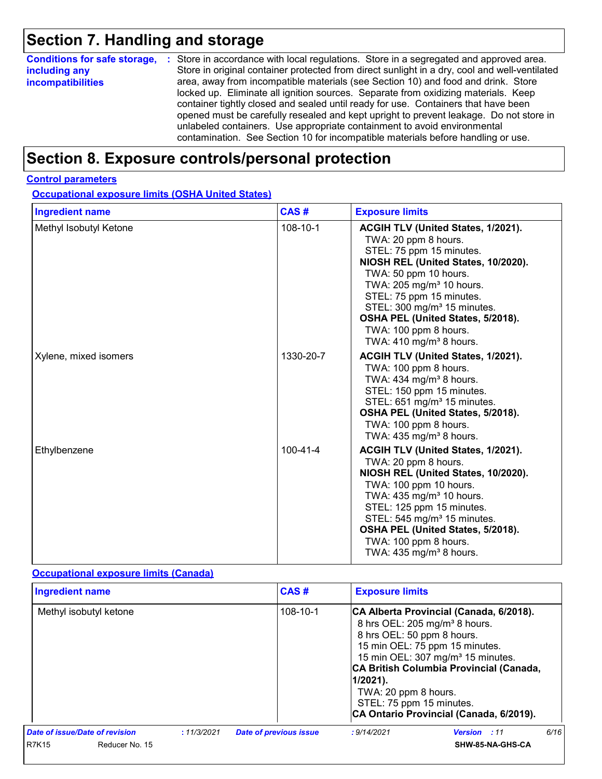## **Section 7. Handling and storage**

| <b>Conditions for safe storage,</b> | : Store in accordance with local regulations. Store in a segregated and approved area.        |  |  |  |
|-------------------------------------|-----------------------------------------------------------------------------------------------|--|--|--|
| including any                       | Store in original container protected from direct sunlight in a dry, cool and well-ventilated |  |  |  |
| <b>incompatibilities</b>            | area, away from incompatible materials (see Section 10) and food and drink. Store             |  |  |  |
|                                     | locked up. Eliminate all ignition sources. Separate from oxidizing materials. Keep            |  |  |  |
|                                     | container tightly closed and sealed until ready for use. Containers that have been            |  |  |  |
|                                     | opened must be carefully resealed and kept upright to prevent leakage. Do not store in        |  |  |  |
|                                     | unlabeled containers. Use appropriate containment to avoid environmental                      |  |  |  |
|                                     | contamination. See Section 10 for incompatible materials before handling or use.              |  |  |  |

## **Section 8. Exposure controls/personal protection**

#### **Control parameters**

**Occupational exposure limits (OSHA United States)**

| <b>Ingredient name</b> | CAS#           | <b>Exposure limits</b>                                                                                                                                                                                                                                                                                                                                                       |
|------------------------|----------------|------------------------------------------------------------------------------------------------------------------------------------------------------------------------------------------------------------------------------------------------------------------------------------------------------------------------------------------------------------------------------|
| Methyl Isobutyl Ketone | 108-10-1       | ACGIH TLV (United States, 1/2021).<br>TWA: 20 ppm 8 hours.<br>STEL: 75 ppm 15 minutes.<br>NIOSH REL (United States, 10/2020).<br>TWA: 50 ppm 10 hours.<br>TWA: 205 mg/m <sup>3</sup> 10 hours.<br>STEL: 75 ppm 15 minutes.<br>STEL: 300 mg/m <sup>3</sup> 15 minutes.<br>OSHA PEL (United States, 5/2018).<br>TWA: 100 ppm 8 hours.<br>TWA: $410$ mg/m <sup>3</sup> 8 hours. |
| Xylene, mixed isomers  | 1330-20-7      | ACGIH TLV (United States, 1/2021).<br>TWA: 100 ppm 8 hours.<br>TWA: $434$ mg/m <sup>3</sup> 8 hours.<br>STEL: 150 ppm 15 minutes.<br>STEL: 651 mg/m <sup>3</sup> 15 minutes.<br>OSHA PEL (United States, 5/2018).<br>TWA: 100 ppm 8 hours.<br>TWA: $435 \text{ mg/m}^3$ 8 hours.                                                                                             |
| Ethylbenzene           | $100 - 41 - 4$ | ACGIH TLV (United States, 1/2021).<br>TWA: 20 ppm 8 hours.<br>NIOSH REL (United States, 10/2020).<br>TWA: 100 ppm 10 hours.<br>TWA: $435 \text{ mg/m}^3$ 10 hours.<br>STEL: 125 ppm 15 minutes.<br>STEL: 545 mg/m <sup>3</sup> 15 minutes.<br>OSHA PEL (United States, 5/2018).<br>TWA: 100 ppm 8 hours.<br>TWA: $435 \text{ mg/m}^3$ 8 hours.                               |

#### **Occupational exposure limits (Canada)**

| <b>Ingredient name</b>         |             | CAS#                          | <b>Exposure limits</b>                                                                                                                                                                                                                                                                                                                                         |      |
|--------------------------------|-------------|-------------------------------|----------------------------------------------------------------------------------------------------------------------------------------------------------------------------------------------------------------------------------------------------------------------------------------------------------------------------------------------------------------|------|
| Methyl isobutyl ketone         |             | 108-10-1                      | CA Alberta Provincial (Canada, 6/2018).<br>8 hrs OEL: 205 mg/m <sup>3</sup> 8 hours.<br>8 hrs OEL: 50 ppm 8 hours.<br>15 min OEL: 75 ppm 15 minutes.<br>15 min OEL: 307 mg/m <sup>3</sup> 15 minutes.<br>CA British Columbia Provincial (Canada,<br>$1/2021$ ).<br>TWA: 20 ppm 8 hours.<br>STEL: 75 ppm 15 minutes.<br>CA Ontario Provincial (Canada, 6/2019). |      |
| Date of issue/Date of revision | : 11/3/2021 | <b>Date of previous issue</b> | : 9/14/2021<br><b>Version</b> : 11                                                                                                                                                                                                                                                                                                                             | 6/16 |
| R7K15<br>Reducer No. 15        |             |                               | <b>SHW-85-NA-GHS-CA</b>                                                                                                                                                                                                                                                                                                                                        |      |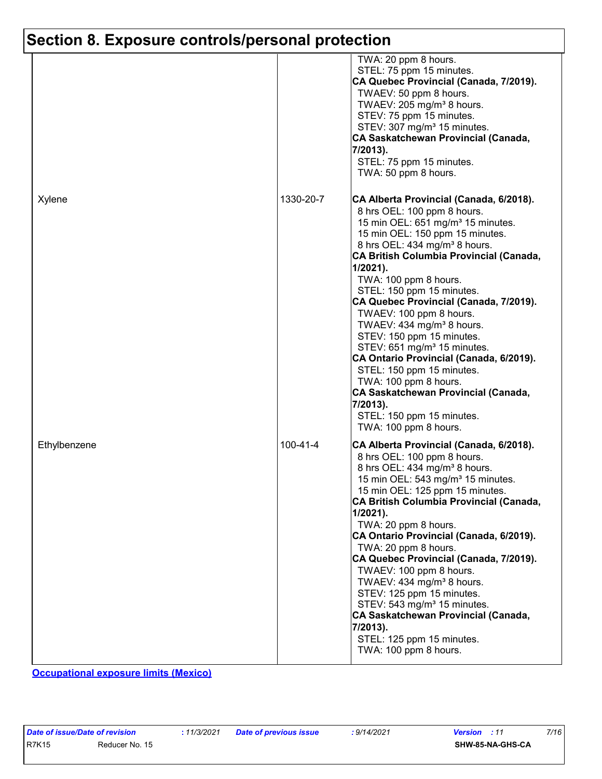## **Section 8. Exposure controls/personal protection**

|              |                | TWA: 20 ppm 8 hours.<br>STEL: 75 ppm 15 minutes.<br>CA Quebec Provincial (Canada, 7/2019).<br>TWAEV: 50 ppm 8 hours.<br>TWAEV: 205 mg/m <sup>3</sup> 8 hours.<br>STEV: 75 ppm 15 minutes.<br>STEV: 307 mg/m <sup>3</sup> 15 minutes.<br><b>CA Saskatchewan Provincial (Canada,</b><br>7/2013).<br>STEL: 75 ppm 15 minutes.<br>TWA: 50 ppm 8 hours.                                                                                                                                                                                                                                                                                                                                                                             |
|--------------|----------------|--------------------------------------------------------------------------------------------------------------------------------------------------------------------------------------------------------------------------------------------------------------------------------------------------------------------------------------------------------------------------------------------------------------------------------------------------------------------------------------------------------------------------------------------------------------------------------------------------------------------------------------------------------------------------------------------------------------------------------|
| Xylene       | 1330-20-7      | CA Alberta Provincial (Canada, 6/2018).<br>8 hrs OEL: 100 ppm 8 hours.<br>15 min OEL: 651 mg/m <sup>3</sup> 15 minutes.<br>15 min OEL: 150 ppm 15 minutes.<br>8 hrs OEL: 434 mg/m <sup>3</sup> 8 hours.<br>CA British Columbia Provincial (Canada,<br>$1/2021$ ).<br>TWA: 100 ppm 8 hours.<br>STEL: 150 ppm 15 minutes.<br>CA Quebec Provincial (Canada, 7/2019).<br>TWAEV: 100 ppm 8 hours.<br>TWAEV: 434 mg/m <sup>3</sup> 8 hours.<br>STEV: 150 ppm 15 minutes.<br>STEV: 651 mg/m <sup>3</sup> 15 minutes.<br>CA Ontario Provincial (Canada, 6/2019).<br>STEL: 150 ppm 15 minutes.<br>TWA: 100 ppm 8 hours.<br><b>CA Saskatchewan Provincial (Canada,</b><br>7/2013).<br>STEL: 150 ppm 15 minutes.<br>TWA: 100 ppm 8 hours. |
| Ethylbenzene | $100 - 41 - 4$ | CA Alberta Provincial (Canada, 6/2018).<br>8 hrs OEL: 100 ppm 8 hours.<br>8 hrs OEL: 434 mg/m <sup>3</sup> 8 hours.<br>15 min OEL: 543 mg/m <sup>3</sup> 15 minutes.<br>15 min OEL: 125 ppm 15 minutes.<br>CA British Columbia Provincial (Canada,<br>$1/2021$ ).<br>TWA: 20 ppm 8 hours.<br>CA Ontario Provincial (Canada, 6/2019).<br>TWA: 20 ppm 8 hours.<br>CA Quebec Provincial (Canada, 7/2019).<br>TWAEV: 100 ppm 8 hours.<br>TWAEV: 434 mg/m <sup>3</sup> 8 hours.<br>STEV: 125 ppm 15 minutes.<br>STEV: 543 mg/m <sup>3</sup> 15 minutes.<br>CA Saskatchewan Provincial (Canada,<br>7/2013).<br>STEL: 125 ppm 15 minutes.<br>TWA: 100 ppm 8 hours.                                                                    |

**Occupational exposure limits (Mexico)**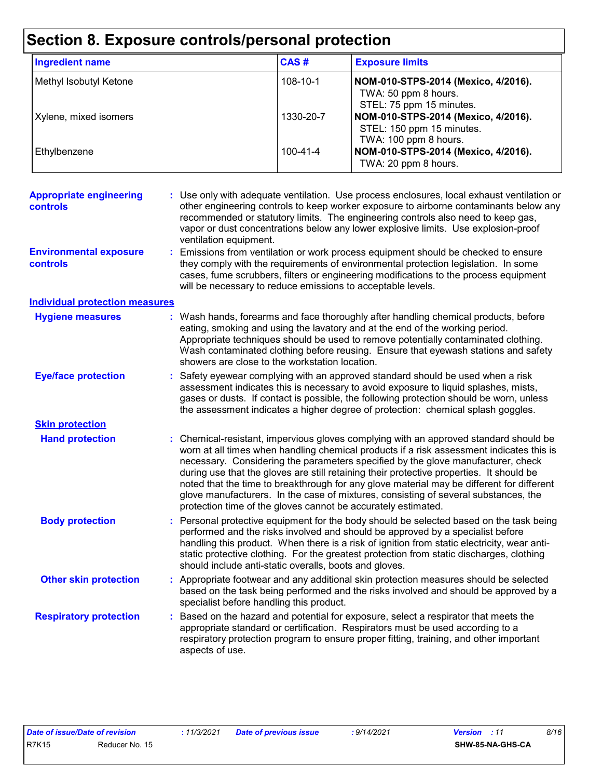## **Section 8. Exposure controls/personal protection**

| <b>Ingredient name</b> | CAS#           | <b>Exposure limits</b>                                                                    |
|------------------------|----------------|-------------------------------------------------------------------------------------------|
| Methyl Isobutyl Ketone | $108 - 10 - 1$ | NOM-010-STPS-2014 (Mexico, 4/2016).<br>TWA: 50 ppm 8 hours.<br>STEL: 75 ppm 15 minutes.   |
| Xylene, mixed isomers  | 1330-20-7      | NOM-010-STPS-2014 (Mexico, 4/2016).<br>STEL: 150 ppm 15 minutes.<br>TWA: 100 ppm 8 hours. |
| Ethylbenzene           | $100 - 41 - 4$ | NOM-010-STPS-2014 (Mexico, 4/2016).<br>TWA: 20 ppm 8 hours.                               |

| <b>Appropriate engineering</b><br>controls       | : Use only with adequate ventilation. Use process enclosures, local exhaust ventilation or<br>other engineering controls to keep worker exposure to airborne contaminants below any<br>recommended or statutory limits. The engineering controls also need to keep gas,<br>vapor or dust concentrations below any lower explosive limits. Use explosion-proof<br>ventilation equipment.                                                                                                                                                                                                                                |  |
|--------------------------------------------------|------------------------------------------------------------------------------------------------------------------------------------------------------------------------------------------------------------------------------------------------------------------------------------------------------------------------------------------------------------------------------------------------------------------------------------------------------------------------------------------------------------------------------------------------------------------------------------------------------------------------|--|
| <b>Environmental exposure</b><br><b>controls</b> | Emissions from ventilation or work process equipment should be checked to ensure<br>they comply with the requirements of environmental protection legislation. In some<br>cases, fume scrubbers, filters or engineering modifications to the process equipment<br>will be necessary to reduce emissions to acceptable levels.                                                                                                                                                                                                                                                                                          |  |
| <b>Individual protection measures</b>            |                                                                                                                                                                                                                                                                                                                                                                                                                                                                                                                                                                                                                        |  |
| <b>Hygiene measures</b>                          | : Wash hands, forearms and face thoroughly after handling chemical products, before<br>eating, smoking and using the lavatory and at the end of the working period.<br>Appropriate techniques should be used to remove potentially contaminated clothing.<br>Wash contaminated clothing before reusing. Ensure that eyewash stations and safety<br>showers are close to the workstation location.                                                                                                                                                                                                                      |  |
| <b>Eye/face protection</b>                       | Safety eyewear complying with an approved standard should be used when a risk<br>t.<br>assessment indicates this is necessary to avoid exposure to liquid splashes, mists,<br>gases or dusts. If contact is possible, the following protection should be worn, unless<br>the assessment indicates a higher degree of protection: chemical splash goggles.                                                                                                                                                                                                                                                              |  |
| <b>Skin protection</b>                           |                                                                                                                                                                                                                                                                                                                                                                                                                                                                                                                                                                                                                        |  |
| <b>Hand protection</b>                           | : Chemical-resistant, impervious gloves complying with an approved standard should be<br>worn at all times when handling chemical products if a risk assessment indicates this is<br>necessary. Considering the parameters specified by the glove manufacturer, check<br>during use that the gloves are still retaining their protective properties. It should be<br>noted that the time to breakthrough for any glove material may be different for different<br>glove manufacturers. In the case of mixtures, consisting of several substances, the<br>protection time of the gloves cannot be accurately estimated. |  |
| <b>Body protection</b>                           | : Personal protective equipment for the body should be selected based on the task being<br>performed and the risks involved and should be approved by a specialist before<br>handling this product. When there is a risk of ignition from static electricity, wear anti-<br>static protective clothing. For the greatest protection from static discharges, clothing<br>should include anti-static overalls, boots and gloves.                                                                                                                                                                                         |  |
| <b>Other skin protection</b>                     | : Appropriate footwear and any additional skin protection measures should be selected<br>based on the task being performed and the risks involved and should be approved by a<br>specialist before handling this product.                                                                                                                                                                                                                                                                                                                                                                                              |  |
| <b>Respiratory protection</b>                    | Based on the hazard and potential for exposure, select a respirator that meets the<br>t.<br>appropriate standard or certification. Respirators must be used according to a<br>respiratory protection program to ensure proper fitting, training, and other important<br>aspects of use.                                                                                                                                                                                                                                                                                                                                |  |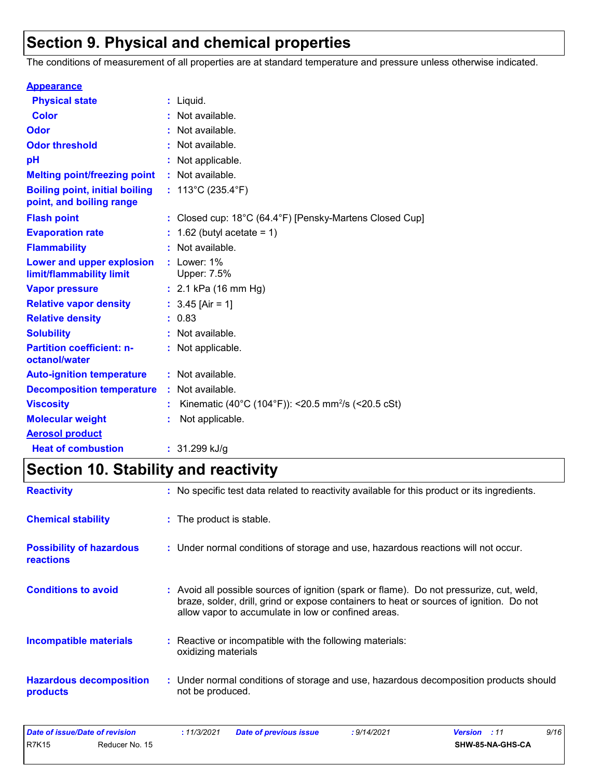## **Section 9. Physical and chemical properties**

The conditions of measurement of all properties are at standard temperature and pressure unless otherwise indicated.

| <b>Appearance</b>                                                 |                                                                              |
|-------------------------------------------------------------------|------------------------------------------------------------------------------|
| <b>Physical state</b>                                             | $:$ Liquid.                                                                  |
| <b>Color</b>                                                      | Not available.                                                               |
| Odor                                                              | Not available.                                                               |
| <b>Odor threshold</b>                                             | Not available.                                                               |
| рH                                                                | Not applicable.                                                              |
| <b>Melting point/freezing point</b>                               | : Not available.                                                             |
| <b>Boiling point, initial boiling</b><br>point, and boiling range | : $113^{\circ}$ C (235.4 $^{\circ}$ F)                                       |
| <b>Flash point</b>                                                | : Closed cup: $18^{\circ}$ C (64.4 $^{\circ}$ F) [Pensky-Martens Closed Cup] |
| <b>Evaporation rate</b>                                           | 1.62 (butyl acetate = $1$ )                                                  |
| <b>Flammability</b>                                               | Not available.                                                               |
| Lower and upper explosion<br>limit/flammability limit             | : Lower: $1\%$<br>Upper: 7.5%                                                |
| <b>Vapor pressure</b>                                             | : $2.1$ kPa (16 mm Hg)                                                       |
| <b>Relative vapor density</b>                                     | : $3.45$ [Air = 1]                                                           |
| <b>Relative density</b>                                           | : 0.83                                                                       |
| <b>Solubility</b>                                                 | Not available.                                                               |
| <b>Partition coefficient: n-</b><br>octanol/water                 | : Not applicable.                                                            |
| <b>Auto-ignition temperature</b>                                  | : Not available.                                                             |
| <b>Decomposition temperature</b>                                  | : Not available.                                                             |
| <b>Viscosity</b>                                                  | Kinematic (40°C (104°F)): <20.5 mm <sup>2</sup> /s (<20.5 cSt)               |
| <b>Molecular weight</b>                                           | Not applicable.                                                              |
| <b>Aerosol product</b>                                            |                                                                              |
| <b>Heat of combustion</b>                                         | $: 31.299$ kJ/g                                                              |

## **Section 10. Stability and reactivity**

| <b>Reactivity</b>                                   | : No specific test data related to reactivity available for this product or its ingredients.                                                                                                                                               |
|-----------------------------------------------------|--------------------------------------------------------------------------------------------------------------------------------------------------------------------------------------------------------------------------------------------|
| <b>Chemical stability</b>                           | : The product is stable.                                                                                                                                                                                                                   |
| <b>Possibility of hazardous</b><br><b>reactions</b> | : Under normal conditions of storage and use, hazardous reactions will not occur.                                                                                                                                                          |
| <b>Conditions to avoid</b>                          | : Avoid all possible sources of ignition (spark or flame). Do not pressurize, cut, weld,<br>braze, solder, drill, grind or expose containers to heat or sources of ignition. Do not<br>allow vapor to accumulate in low or confined areas. |
| <b>Incompatible materials</b>                       | : Reactive or incompatible with the following materials:<br>oxidizing materials                                                                                                                                                            |
| <b>Hazardous decomposition</b><br>products          | : Under normal conditions of storage and use, hazardous decomposition products should<br>not be produced.                                                                                                                                  |

| Date of issue/Date of revision |                | 11/3/2021 | <b>Date of previous issue</b> | : 9/14/2021 | <b>Version</b> : 11 | 9/16 |
|--------------------------------|----------------|-----------|-------------------------------|-------------|---------------------|------|
| <b>R7K15</b>                   | Reducer No. 15 |           |                               |             | SHW-85-NA-GHS-CA    |      |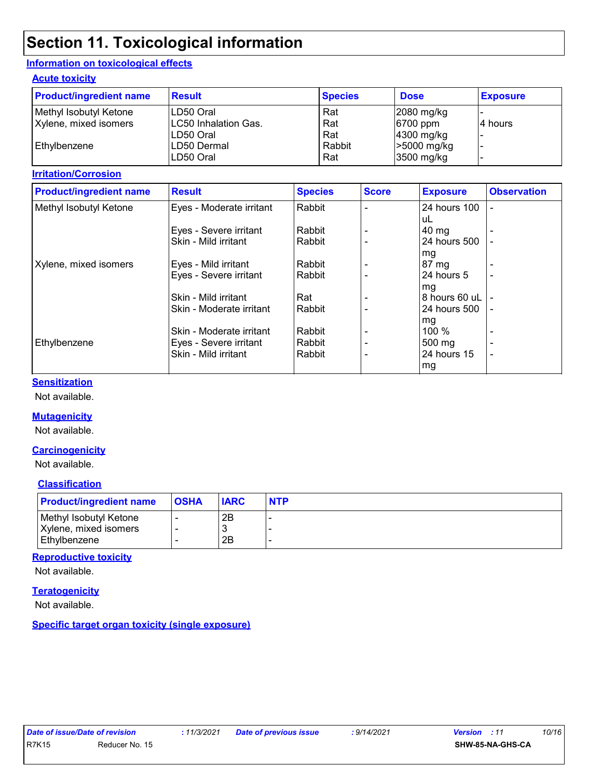## **Section 11. Toxicological information**

#### **Information on toxicological effects**

#### **Acute toxicity**

| <b>Product/ingredient name</b> | <b>Result</b>        | <b>Species</b> | <b>Dose</b>  | <b>Exposure</b> |
|--------------------------------|----------------------|----------------|--------------|-----------------|
| Methyl Isobutyl Ketone         | LD50 Oral            | Rat            | $2080$ mg/kg |                 |
| Xylene, mixed isomers          | LC50 Inhalation Gas. | Rat            | $ 6700$ ppm  | 14 hours        |
|                                | LD50 Oral            | Rat            | $4300$ mg/kg |                 |
| Ethylbenzene                   | LD50 Dermal          | Rabbit         | >5000 mg/kg  |                 |
|                                | LD50 Oral            | Rat            | $3500$ mg/kg |                 |

#### **Irritation/Corrosion**

| <b>Product/ingredient name</b> | <b>Result</b>            | <b>Species</b> | <b>Score</b> | <b>Exposure</b>  | <b>Observation</b> |
|--------------------------------|--------------------------|----------------|--------------|------------------|--------------------|
| Methyl Isobutyl Ketone         | Eyes - Moderate irritant | Rabbit         |              | 24 hours 100     | $\blacksquare$     |
|                                |                          |                |              | uL               |                    |
|                                | Eyes - Severe irritant   | Rabbit         |              | $40 \text{ mg}$  |                    |
|                                | Skin - Mild irritant     | Rabbit         |              | 24 hours 500     |                    |
|                                |                          |                |              | mg               |                    |
| Xylene, mixed isomers          | Eyes - Mild irritant     | Rabbit         |              | 87 mg            |                    |
|                                | Eyes - Severe irritant   | Rabbit         |              | 24 hours 5       |                    |
|                                |                          |                |              | mg               |                    |
|                                | Skin - Mild irritant     | Rat            |              | 8 hours 60 uL    |                    |
|                                | Skin - Moderate irritant | Rabbit         |              | 24 hours 500     | ÷                  |
|                                |                          |                |              | mg               |                    |
|                                | Skin - Moderate irritant | Rabbit         |              | 100 $%$          |                    |
| Ethylbenzene                   | Eyes - Severe irritant   | Rabbit         |              | $500 \text{ mg}$ |                    |
|                                | Skin - Mild irritant     | Rabbit         |              | 24 hours 15      | $\blacksquare$     |
|                                |                          |                |              | mg               |                    |

#### **Sensitization**

Not available.

#### **Mutagenicity**

Not available.

#### **Carcinogenicity**

Not available.

#### **Classification**

| <b>Product/ingredient name</b> | <b>OSHA</b> | <b>IARC</b> | <b>NTP</b> |
|--------------------------------|-------------|-------------|------------|
| Methyl Isobutyl Ketone         |             | 2Β          |            |
| Xylene, mixed isomers          |             |             |            |
| Ethylbenzene                   |             | 2B          |            |

#### **Reproductive toxicity**

Not available.

#### **Teratogenicity**

Not available.

**Specific target organ toxicity (single exposure)**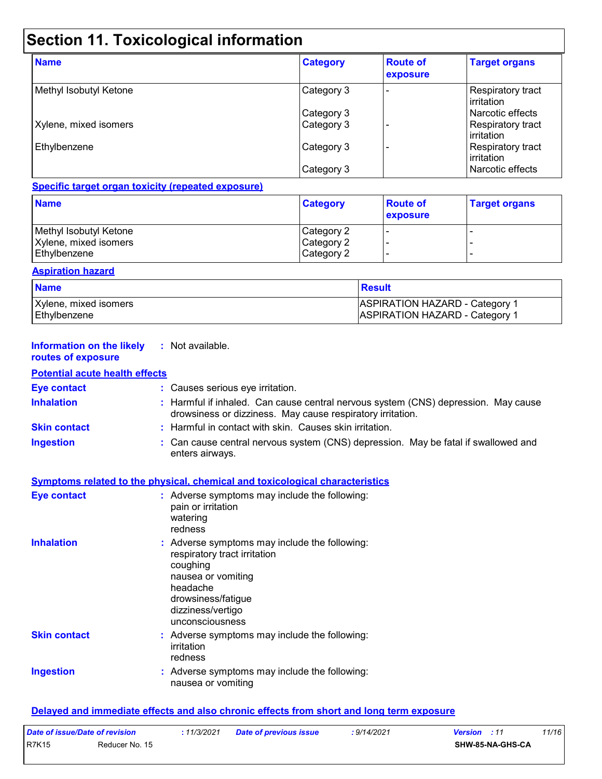## **Section 11. Toxicological information**

| <b>Name</b>            | <b>Category</b> | <b>Route of</b><br>exposure | <b>Target organs</b>              |
|------------------------|-----------------|-----------------------------|-----------------------------------|
| Methyl Isobutyl Ketone | Category 3      |                             | Respiratory tract<br>l irritation |
|                        | Category 3      |                             | Narcotic effects                  |
| Xylene, mixed isomers  | Category 3      |                             | Respiratory tract<br>irritation   |
| Ethylbenzene           | Category 3      |                             | Respiratory tract<br>l irritation |
|                        | Category 3      |                             | Narcotic effects                  |

#### **Specific target organ toxicity (repeated exposure)**

| <b>Name</b>            | <b>Category</b> | <b>Route of</b><br>exposure | <b>Target organs</b> |
|------------------------|-----------------|-----------------------------|----------------------|
| Methyl Isobutyl Ketone | Category 2      |                             |                      |
| Xylene, mixed isomers  | Category 2      |                             |                      |
| Ethylbenzene           | Category 2      |                             |                      |

#### **Aspiration hazard**

| <b>Name</b>           | <b>Result</b>                         |
|-----------------------|---------------------------------------|
| Xylene, mixed isomers | <b>ASPIRATION HAZARD - Category 1</b> |
| Ethylbenzene          | <b>ASPIRATION HAZARD - Category 1</b> |

| <b>Information on the likely</b><br>routes of exposure | : Not available.                                                                                                                                                                          |  |
|--------------------------------------------------------|-------------------------------------------------------------------------------------------------------------------------------------------------------------------------------------------|--|
| <b>Potential acute health effects</b>                  |                                                                                                                                                                                           |  |
| <b>Eye contact</b>                                     | : Causes serious eye irritation.                                                                                                                                                          |  |
| <b>Inhalation</b>                                      | : Harmful if inhaled. Can cause central nervous system (CNS) depression. May cause<br>drowsiness or dizziness. May cause respiratory irritation.                                          |  |
| <b>Skin contact</b>                                    | : Harmful in contact with skin. Causes skin irritation.                                                                                                                                   |  |
| <b>Ingestion</b>                                       | : Can cause central nervous system (CNS) depression. May be fatal if swallowed and<br>enters airways.                                                                                     |  |
|                                                        | <b>Symptoms related to the physical, chemical and toxicological characteristics</b>                                                                                                       |  |
| <b>Eye contact</b>                                     | : Adverse symptoms may include the following:<br>pain or irritation<br>watering<br>redness                                                                                                |  |
| <b>Inhalation</b>                                      | : Adverse symptoms may include the following:<br>respiratory tract irritation<br>coughing<br>nausea or vomiting<br>headache<br>drowsiness/fatigue<br>dizziness/vertigo<br>unconsciousness |  |
| <b>Skin contact</b>                                    | : Adverse symptoms may include the following:<br>irritation<br>redness                                                                                                                    |  |
| <b>Ingestion</b>                                       | : Adverse symptoms may include the following:<br>nausea or vomiting                                                                                                                       |  |

#### **Delayed and immediate effects and also chronic effects from short and long term exposure**

| Date of issue/Date of revision |                | : <i>11/3/2021</i> | <b>Date of previous issue</b> | : 9/14/2021 | <b>Version</b> : 11 | 11/16 |
|--------------------------------|----------------|--------------------|-------------------------------|-------------|---------------------|-------|
| <b>R7K15</b>                   | Reducer No. 15 |                    |                               |             | SHW-85-NA-GHS-CA    |       |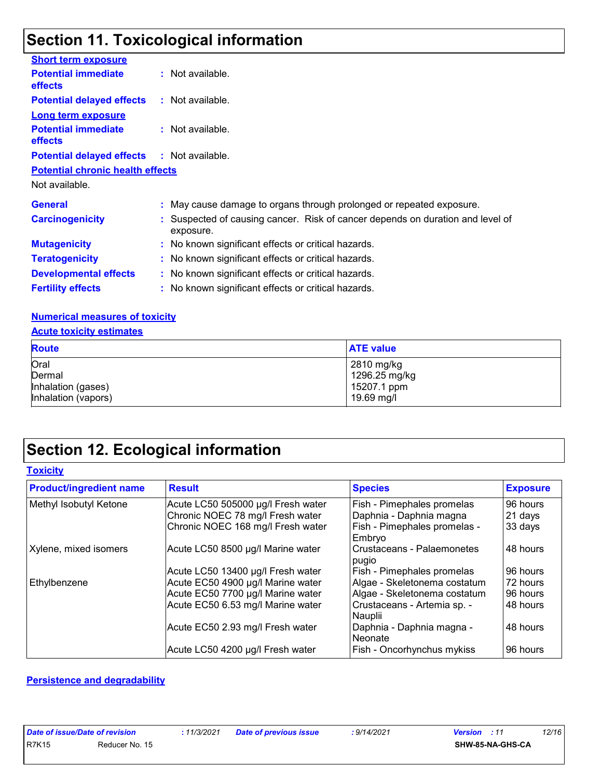## **Section 11. Toxicological information**

| <b>Short term exposure</b>                        |                                                                                             |
|---------------------------------------------------|---------------------------------------------------------------------------------------------|
| <b>Potential immediate</b><br>effects             | : Not available.                                                                            |
| <b>Potential delayed effects</b>                  | $:$ Not available.                                                                          |
| Long term exposure                                |                                                                                             |
| <b>Potential immediate</b><br>effects             | : Not available.                                                                            |
| <b>Potential delayed effects : Not available.</b> |                                                                                             |
| <b>Potential chronic health effects</b>           |                                                                                             |
| Not available.                                    |                                                                                             |
| <b>General</b>                                    | : May cause damage to organs through prolonged or repeated exposure.                        |
| <b>Carcinogenicity</b>                            | : Suspected of causing cancer. Risk of cancer depends on duration and level of<br>exposure. |
| <b>Mutagenicity</b>                               | : No known significant effects or critical hazards.                                         |
| <b>Teratogenicity</b>                             | : No known significant effects or critical hazards.                                         |
| <b>Developmental effects</b>                      | : No known significant effects or critical hazards.                                         |
| <b>Fertility effects</b>                          | : No known significant effects or critical hazards.                                         |

#### **Numerical measures of toxicity**

#### **Acute toxicity estimates**

| <b>Route</b>        | <b>ATE value</b> |
|---------------------|------------------|
| Oral                | 2810 mg/kg       |
| Dermal              | 1296.25 mg/kg    |
| Inhalation (gases)  | 15207.1 ppm      |
| Inhalation (vapors) | 19.69 mg/l       |

## **Section 12. Ecological information**

| Toxicitv |
|----------|
|----------|

| <b>Product/ingredient name</b> | <b>Result</b>                      | <b>Species</b>                         | <b>Exposure</b> |
|--------------------------------|------------------------------------|----------------------------------------|-----------------|
| Methyl Isobutyl Ketone         | Acute LC50 505000 µg/l Fresh water | Fish - Pimephales promelas             | 96 hours        |
|                                | Chronic NOEC 78 mg/l Fresh water   | Daphnia - Daphnia magna                | 21 days         |
|                                | Chronic NOEC 168 mg/l Fresh water  | Fish - Pimephales promelas -<br>Embryo | 33 days         |
| Xylene, mixed isomers          | Acute LC50 8500 µg/l Marine water  | Crustaceans - Palaemonetes<br>pugio    | 48 hours        |
|                                | Acute LC50 13400 µg/l Fresh water  | Fish - Pimephales promelas             | 96 hours        |
| Ethylbenzene                   | Acute EC50 4900 µg/l Marine water  | Algae - Skeletonema costatum           | 72 hours        |
|                                | Acute EC50 7700 µg/l Marine water  | Algae - Skeletonema costatum           | 96 hours        |
|                                | Acute EC50 6.53 mg/l Marine water  | Crustaceans - Artemia sp. -<br>Nauplii | 48 hours        |
|                                | Acute EC50 2.93 mg/l Fresh water   | Daphnia - Daphnia magna -<br>Neonate   | 48 hours        |
|                                | Acute LC50 4200 µg/l Fresh water   | <b>Fish - Oncorhynchus mykiss</b>      | 96 hours        |

#### **Persistence and degradability**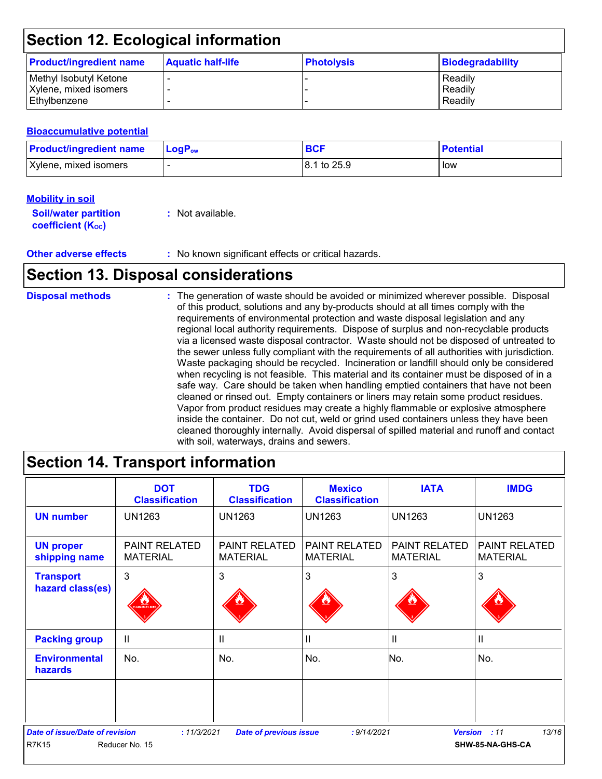## **Section 12. Ecological information**

| <b>Product/ingredient name</b> | <b>Aquatic half-life</b> | <b>Photolysis</b> | Biodegradability |
|--------------------------------|--------------------------|-------------------|------------------|
| Methyl Isobutyl Ketone         |                          |                   | Readily          |
| Xylene, mixed isomers          | $\overline{\phantom{0}}$ |                   | Readily          |
| Ethylbenzene                   |                          |                   | Readily          |

#### **Bioaccumulative potential**

| <b>Product/ingredient name</b> | <b>LogP</b> <sub>ow</sub> | <b>BCF</b>  | <b>Potential</b> |
|--------------------------------|---------------------------|-------------|------------------|
| Xylene, mixed isomers          |                           | 8.1 to 25.9 | low              |

#### **Mobility in soil**

| <b>Soil/water partition</b> | : Not available. |
|-----------------------------|------------------|
| <b>coefficient (Koc)</b>    |                  |

**Other adverse effects :** No known significant effects or critical hazards.

### **Section 13. Disposal considerations**

## **Disposal methods :**

The generation of waste should be avoided or minimized wherever possible. Disposal of this product, solutions and any by-products should at all times comply with the requirements of environmental protection and waste disposal legislation and any regional local authority requirements. Dispose of surplus and non-recyclable products via a licensed waste disposal contractor. Waste should not be disposed of untreated to the sewer unless fully compliant with the requirements of all authorities with jurisdiction. Waste packaging should be recycled. Incineration or landfill should only be considered when recycling is not feasible. This material and its container must be disposed of in a safe way. Care should be taken when handling emptied containers that have not been cleaned or rinsed out. Empty containers or liners may retain some product residues. Vapor from product residues may create a highly flammable or explosive atmosphere inside the container. Do not cut, weld or grind used containers unless they have been cleaned thoroughly internally. Avoid dispersal of spilled material and runoff and contact with soil, waterways, drains and sewers.

# **Section 14. Transport information**

|                                                       | <b>DOT</b><br><b>Classification</b>     | <b>TDG</b><br><b>Classification</b>     | <b>Mexico</b><br><b>Classification</b>  | <b>IATA</b>                             | <b>IMDG</b>                       |
|-------------------------------------------------------|-----------------------------------------|-----------------------------------------|-----------------------------------------|-----------------------------------------|-----------------------------------|
| <b>UN number</b>                                      | <b>UN1263</b>                           | <b>UN1263</b>                           | <b>UN1263</b>                           | <b>UN1263</b>                           | <b>UN1263</b>                     |
| <b>UN proper</b><br>shipping name                     | <b>PAINT RELATED</b><br><b>MATERIAL</b> | <b>PAINT RELATED</b><br><b>MATERIAL</b> | <b>PAINT RELATED</b><br><b>MATERIAL</b> | <b>PAINT RELATED</b><br><b>MATERIAL</b> | PAINT RELATED<br><b>MATERIAL</b>  |
| <b>Transport</b><br>hazard class(es)                  | 3                                       | 3                                       | 3                                       | 3                                       | 3                                 |
| <b>Packing group</b>                                  | $\mathbf{II}$                           | $\mathbf{II}$                           | H                                       | $\mathbf{  }$                           | Ш                                 |
| <b>Environmental</b><br><b>hazards</b>                | No.                                     | No.                                     | No.                                     | No.                                     | No.                               |
| <b>Date of issue/Date of revision</b><br><b>R7K15</b> | : 11/3/2021<br>Reducer No. 15           | <b>Date of previous issue</b>           | : 9/14/2021                             | <b>Version</b>                          | 13/16<br>: 11<br>SHW-85-NA-GHS-CA |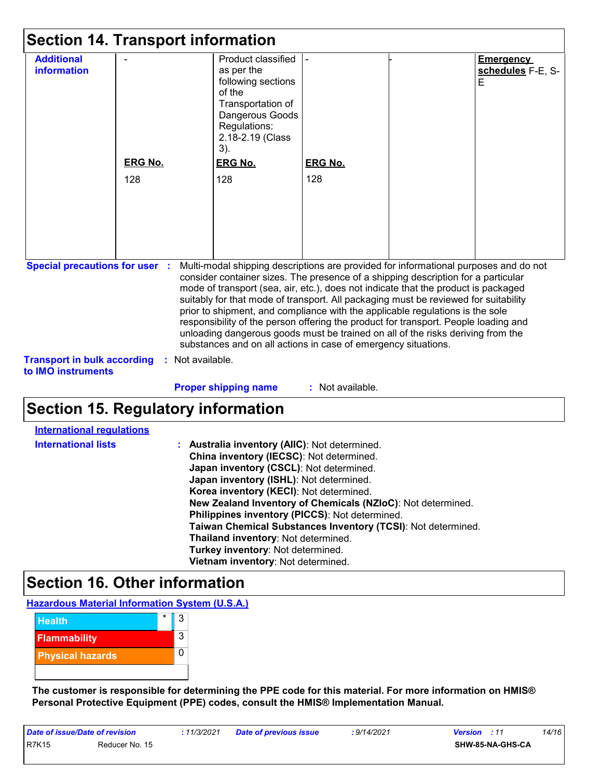| <b>Section 14. Transport information</b>                                                          |                       |                                                                                                                                                                                                                                                                                                                                                                                                                                                                                                                                                                                                                                                                                                         |                       |  |                                            |
|---------------------------------------------------------------------------------------------------|-----------------------|---------------------------------------------------------------------------------------------------------------------------------------------------------------------------------------------------------------------------------------------------------------------------------------------------------------------------------------------------------------------------------------------------------------------------------------------------------------------------------------------------------------------------------------------------------------------------------------------------------------------------------------------------------------------------------------------------------|-----------------------|--|--------------------------------------------|
| <b>Additional</b><br><b>information</b>                                                           | <b>ERG No.</b><br>128 | Product classified<br>as per the<br>following sections<br>of the<br>Transportation of<br>Dangerous Goods<br>Regulations:<br>2.18-2.19 (Class<br>3).<br><b>ERG No.</b><br>128                                                                                                                                                                                                                                                                                                                                                                                                                                                                                                                            | <b>ERG No.</b><br>128 |  | <b>Emergency</b><br>schedules F-E, S-<br>E |
| <b>Special precautions for user :</b><br><b>Transport in bulk according</b><br>to IMO instruments |                       | Multi-modal shipping descriptions are provided for informational purposes and do not<br>consider container sizes. The presence of a shipping description for a particular<br>mode of transport (sea, air, etc.), does not indicate that the product is packaged<br>suitably for that mode of transport. All packaging must be reviewed for suitability<br>prior to shipment, and compliance with the applicable regulations is the sole<br>responsibility of the person offering the product for transport. People loading and<br>unloading dangerous goods must be trained on all of the risks deriving from the<br>substances and on all actions in case of emergency situations.<br>: Not available. |                       |  |                                            |
|                                                                                                   |                       | <b>Proper shipping name</b>                                                                                                                                                                                                                                                                                                                                                                                                                                                                                                                                                                                                                                                                             | : Not available.      |  |                                            |

## **Section 15. Regulatory information**

| <b>International regulations</b> |                                                                                                                                                                                                                                                                                                                                                                                                                                                                                                                               |
|----------------------------------|-------------------------------------------------------------------------------------------------------------------------------------------------------------------------------------------------------------------------------------------------------------------------------------------------------------------------------------------------------------------------------------------------------------------------------------------------------------------------------------------------------------------------------|
| <b>International lists</b>       | : Australia inventory (AIIC): Not determined.<br>China inventory (IECSC): Not determined.<br>Japan inventory (CSCL): Not determined.<br>Japan inventory (ISHL): Not determined.<br>Korea inventory (KECI): Not determined.<br>New Zealand Inventory of Chemicals (NZIoC): Not determined.<br>Philippines inventory (PICCS): Not determined.<br>Taiwan Chemical Substances Inventory (TCSI): Not determined.<br>Thailand inventory: Not determined.<br>Turkey inventory: Not determined.<br>Vietnam inventory: Not determined. |

## **Section 16. Other information**

**Hazardous Material Information System (U.S.A.)**



**The customer is responsible for determining the PPE code for this material. For more information on HMIS® Personal Protective Equipment (PPE) codes, consult the HMIS® Implementation Manual.**

| Date of issue/Date of revision |                | : 11/3/2021 | <b>Date of previous issue</b> | : 9/14/2021 | <b>Version</b> : 11 | 14/16 |
|--------------------------------|----------------|-------------|-------------------------------|-------------|---------------------|-------|
| <b>R7K15</b>                   | Reducer No. 15 |             |                               |             | SHW-85-NA-GHS-CA    |       |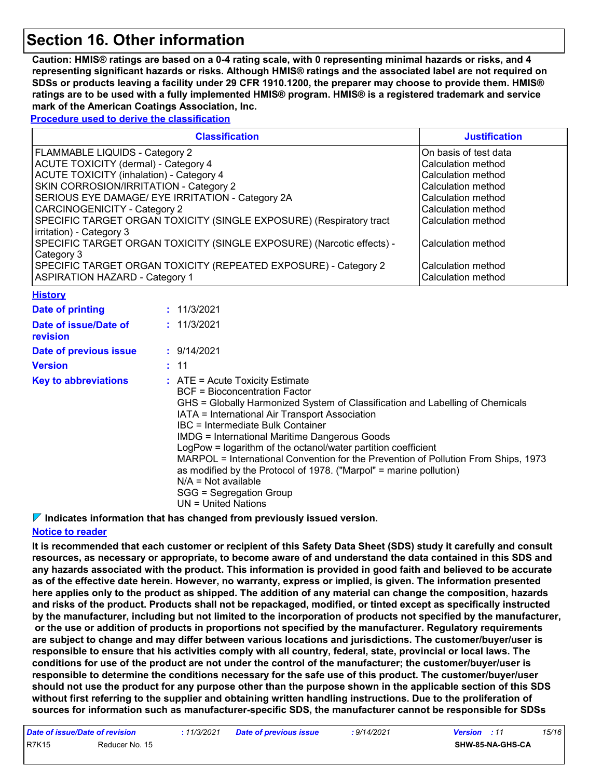### **Section 16. Other information**

**Caution: HMIS® ratings are based on a 0-4 rating scale, with 0 representing minimal hazards or risks, and 4 representing significant hazards or risks. Although HMIS® ratings and the associated label are not required on SDSs or products leaving a facility under 29 CFR 1910.1200, the preparer may choose to provide them. HMIS® ratings are to be used with a fully implemented HMIS® program. HMIS® is a registered trademark and service mark of the American Coatings Association, Inc.**

**Procedure used to derive the classification**

| <b>Classification</b>                                                 | <b>Justification</b>   |
|-----------------------------------------------------------------------|------------------------|
| FLAMMABLE LIQUIDS - Category 2                                        | IOn basis of test data |
| ACUTE TOXICITY (dermal) - Category 4                                  | lCalculation method    |
| ACUTE TOXICITY (inhalation) - Category 4                              | lCalculation method    |
| SKIN CORROSION/IRRITATION - Category 2                                | lCalculation method    |
| SERIOUS EYE DAMAGE/ EYE IRRITATION - Category 2A                      | lCalculation method    |
| <b>CARCINOGENICITY - Category 2</b>                                   | lCalculation method    |
| SPECIFIC TARGET ORGAN TOXICITY (SINGLE EXPOSURE) (Respiratory tract   | l Calculation method   |
| irritation) - Category 3                                              |                        |
| SPECIFIC TARGET ORGAN TOXICITY (SINGLE EXPOSURE) (Narcotic effects) - | lCalculation method    |
| Category 3                                                            |                        |
| SPECIFIC TARGET ORGAN TOXICITY (REPEATED EXPOSURE) - Category 2       | lCalculation method    |
| <b>ASPIRATION HAZARD - Category 1</b>                                 | Calculation method     |

| <u> Filstory</u>                  |                                                                                                                                                                                                                                                                                                                                                                                                                                                                                                                                                                                                                       |
|-----------------------------------|-----------------------------------------------------------------------------------------------------------------------------------------------------------------------------------------------------------------------------------------------------------------------------------------------------------------------------------------------------------------------------------------------------------------------------------------------------------------------------------------------------------------------------------------------------------------------------------------------------------------------|
| <b>Date of printing</b>           | : 11/3/2021                                                                                                                                                                                                                                                                                                                                                                                                                                                                                                                                                                                                           |
| Date of issue/Date of<br>revision | : 11/3/2021                                                                                                                                                                                                                                                                                                                                                                                                                                                                                                                                                                                                           |
| Date of previous issue            | : 9/14/2021                                                                                                                                                                                                                                                                                                                                                                                                                                                                                                                                                                                                           |
| <b>Version</b>                    | : 11                                                                                                                                                                                                                                                                                                                                                                                                                                                                                                                                                                                                                  |
| <b>Key to abbreviations</b>       | $\therefore$ ATE = Acute Toxicity Estimate<br>BCF = Bioconcentration Factor<br>GHS = Globally Harmonized System of Classification and Labelling of Chemicals<br>IATA = International Air Transport Association<br>IBC = Intermediate Bulk Container<br><b>IMDG</b> = International Maritime Dangerous Goods<br>LogPow = logarithm of the octanol/water partition coefficient<br>MARPOL = International Convention for the Prevention of Pollution From Ships, 1973<br>as modified by the Protocol of 1978. ("Marpol" = marine pollution)<br>$N/A = Not available$<br>SGG = Segregation Group<br>$UN = United Nations$ |

**Indicates information that has changed from previously issued version.**

#### **Notice to reader**

**History**

**It is recommended that each customer or recipient of this Safety Data Sheet (SDS) study it carefully and consult resources, as necessary or appropriate, to become aware of and understand the data contained in this SDS and any hazards associated with the product. This information is provided in good faith and believed to be accurate as of the effective date herein. However, no warranty, express or implied, is given. The information presented here applies only to the product as shipped. The addition of any material can change the composition, hazards and risks of the product. Products shall not be repackaged, modified, or tinted except as specifically instructed by the manufacturer, including but not limited to the incorporation of products not specified by the manufacturer, or the use or addition of products in proportions not specified by the manufacturer. Regulatory requirements are subject to change and may differ between various locations and jurisdictions. The customer/buyer/user is responsible to ensure that his activities comply with all country, federal, state, provincial or local laws. The conditions for use of the product are not under the control of the manufacturer; the customer/buyer/user is responsible to determine the conditions necessary for the safe use of this product. The customer/buyer/user should not use the product for any purpose other than the purpose shown in the applicable section of this SDS without first referring to the supplier and obtaining written handling instructions. Due to the proliferation of sources for information such as manufacturer-specific SDS, the manufacturer cannot be responsible for SDSs**